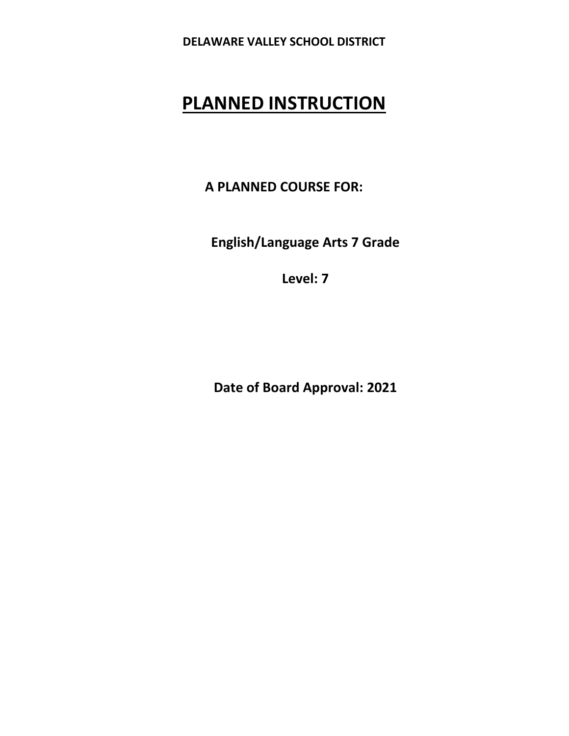# **PLANNED INSTRUCTION**

**A PLANNED COURSE FOR:** 

**English/Language Arts 7 Grade** 

**Level: 7** 

**Date of Board Approval: 2021**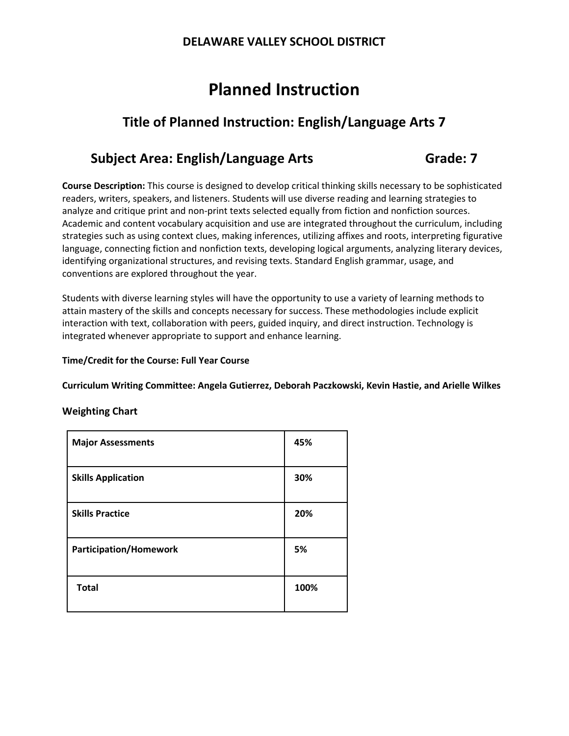# **Planned Instruction**

# **Title of Planned Instruction: English/Language Arts 7**

# **Subject Area: English/Language Arts 6rade: 7**

**Course Description:** This course is designed to develop critical thinking skills necessary to be sophisticated readers, writers, speakers, and listeners. Students will use diverse reading and learning strategies to analyze and critique print and non-print texts selected equally from fiction and nonfiction sources. Academic and content vocabulary acquisition and use are integrated throughout the curriculum, including strategies such as using context clues, making inferences, utilizing affixes and roots, interpreting figurative language, connecting fiction and nonfiction texts, developing logical arguments, analyzing literary devices, identifying organizational structures, and revising texts. Standard English grammar, usage, and conventions are explored throughout the year.

Students with diverse learning styles will have the opportunity to use a variety of learning methods to attain mastery of the skills and concepts necessary for success. These methodologies include explicit interaction with text, collaboration with peers, guided inquiry, and direct instruction. Technology is integrated whenever appropriate to support and enhance learning.

### **Time/Credit for the Course: Full Year Course**

**Curriculum Writing Committee: Angela Gutierrez, Deborah Paczkowski, Kevin Hastie, and Arielle Wilkes**

### **Weighting Chart**

| <b>Major Assessments</b>      | 45%  |
|-------------------------------|------|
| <b>Skills Application</b>     | 30%  |
| <b>Skills Practice</b>        | 20%  |
| <b>Participation/Homework</b> | 5%   |
| <b>Total</b>                  | 100% |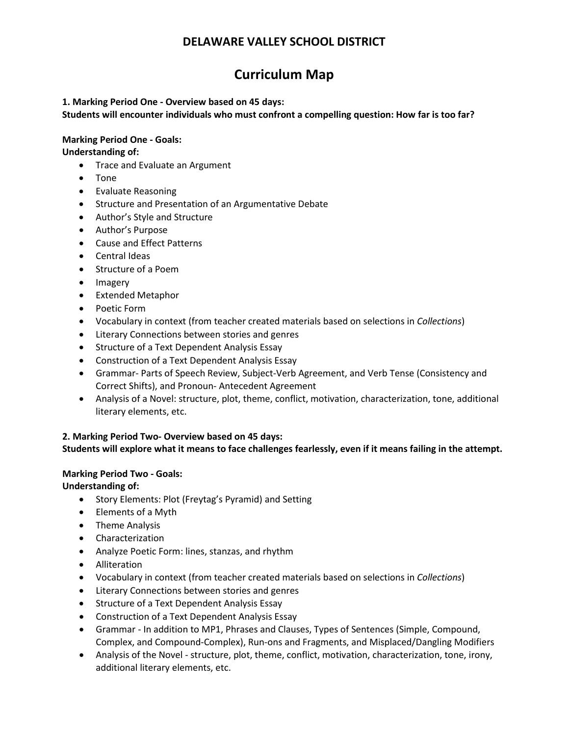# **Curriculum Map**

### **1. Marking Period One ‐ Overview based on 45 days:**

**Students will encounter individuals who must confront a compelling question: How far is too far?**

### **Marking Period One ‐ Goals:**

**Understanding of:**

- Trace and Evaluate an Argument
- Tone
- Evaluate Reasoning
- Structure and Presentation of an Argumentative Debate
- Author's Style and Structure
- Author's Purpose
- Cause and Effect Patterns
- Central Ideas
- Structure of a Poem
- Imagery
- Extended Metaphor
- Poetic Form
- Vocabulary in context (from teacher created materials based on selections in *Collections*)
- Literary Connections between stories and genres
- Structure of a Text Dependent Analysis Essay
- Construction of a Text Dependent Analysis Essay
- Grammar‐ Parts of Speech Review, Subject-Verb Agreement, and Verb Tense (Consistency and Correct Shifts), and Pronoun- Antecedent Agreement
- Analysis of a Novel: structure, plot, theme, conflict, motivation, characterization, tone, additional literary elements, etc.

### **2. Marking Period Two‐ Overview based on 45 days:**

### **Students will explore what it means to face challenges fearlessly, even if it means failing in the attempt.**

### **Marking Period Two ‐ Goals:**

**Understanding of:**

- Story Elements: Plot (Freytag's Pyramid) and Setting
- Elements of a Myth
- Theme Analysis
- Characterization
- Analyze Poetic Form: lines, stanzas, and rhythm
- Alliteration
- Vocabulary in context (from teacher created materials based on selections in *Collections*)
- Literary Connections between stories and genres
- Structure of a Text Dependent Analysis Essay
- Construction of a Text Dependent Analysis Essay
- Grammar ‐ In addition to MP1, Phrases and Clauses, Types of Sentences (Simple, Compound, Complex, and Compound-Complex), Run-ons and Fragments, and Misplaced/Dangling Modifiers
- Analysis of the Novel structure, plot, theme, conflict, motivation, characterization, tone, irony, additional literary elements, etc.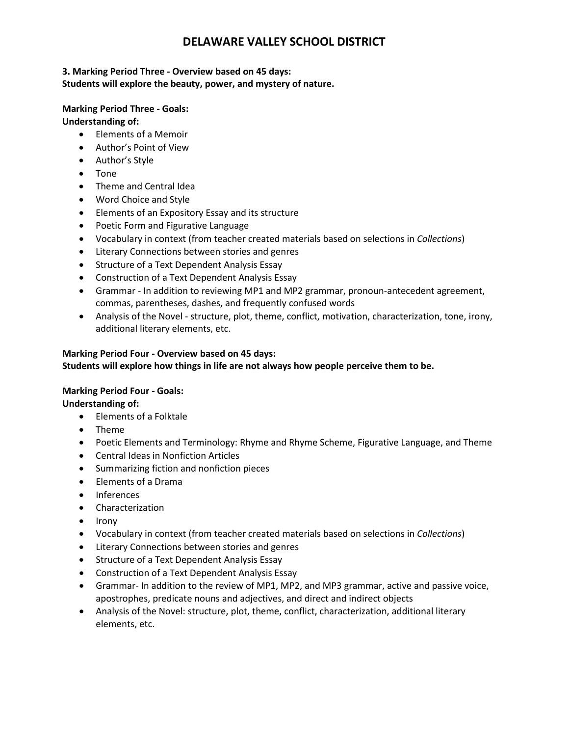### **3. Marking Period Three ‐ Overview based on 45 days: Students will explore the beauty, power, and mystery of nature.**

# **Marking Period Three ‐ Goals:**

**Understanding of:**

- Elements of a Memoir
- Author's Point of View
- Author's Style
- Tone
- Theme and Central Idea
- Word Choice and Style
- Elements of an Expository Essay and its structure
- Poetic Form and Figurative Language
- Vocabulary in context (from teacher created materials based on selections in *Collections*)
- Literary Connections between stories and genres
- Structure of a Text Dependent Analysis Essay
- Construction of a Text Dependent Analysis Essay
- Grammar ‐ In addition to reviewing MP1 and MP2 grammar, pronoun-antecedent agreement, commas, parentheses, dashes, and frequently confused words
- Analysis of the Novel structure, plot, theme, conflict, motivation, characterization, tone, irony, additional literary elements, etc.

### **Marking Period Four ‐ Overview based on 45 days:**

**Students will explore how things in life are not always how people perceive them to be.**

### **Marking Period Four ‐ Goals:**

**Understanding of:**

- Elements of a Folktale
- Theme
- Poetic Elements and Terminology: Rhyme and Rhyme Scheme, Figurative Language, and Theme
- Central Ideas in Nonfiction Articles
- Summarizing fiction and nonfiction pieces
- Elements of a Drama
- **Inferences**
- Characterization
- Irony
- Vocabulary in context (from teacher created materials based on selections in *Collections*)
- Literary Connections between stories and genres
- Structure of a Text Dependent Analysis Essay
- Construction of a Text Dependent Analysis Essay
- Grammar- In addition to the review of MP1, MP2, and MP3 grammar, active and passive voice, apostrophes, predicate nouns and adjectives, and direct and indirect objects
- Analysis of the Novel: structure, plot, theme, conflict, characterization, additional literary elements, etc.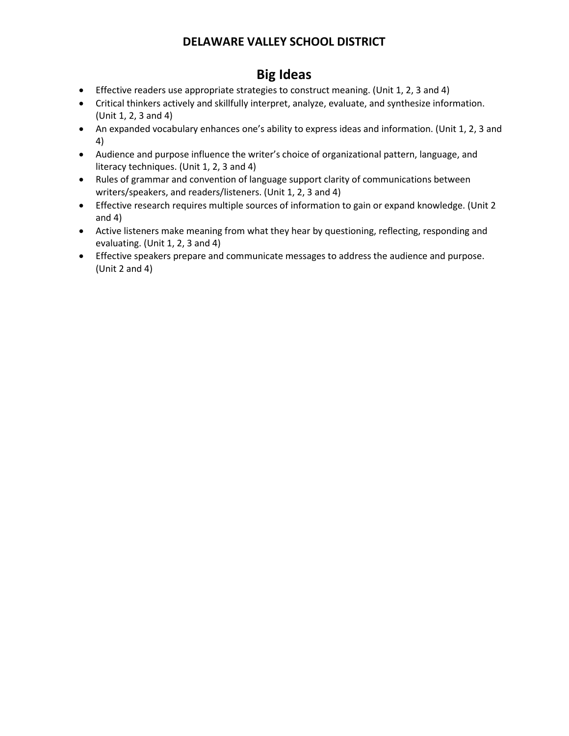# **Big Ideas**

- Effective readers use appropriate strategies to construct meaning. (Unit 1, 2, 3 and 4)
- Critical thinkers actively and skillfully interpret, analyze, evaluate, and synthesize information. (Unit 1, 2, 3 and 4)
- An expanded vocabulary enhances one's ability to express ideas and information. (Unit 1, 2, 3 and 4)
- Audience and purpose influence the writer's choice of organizational pattern, language, and literacy techniques. (Unit 1, 2, 3 and 4)
- Rules of grammar and convention of language support clarity of communications between writers/speakers, and readers/listeners. (Unit 1, 2, 3 and 4)
- Effective research requires multiple sources of information to gain or expand knowledge. (Unit 2 and 4)
- Active listeners make meaning from what they hear by questioning, reflecting, responding and evaluating. (Unit 1, 2, 3 and 4)
- Effective speakers prepare and communicate messages to address the audience and purpose. (Unit 2 and 4)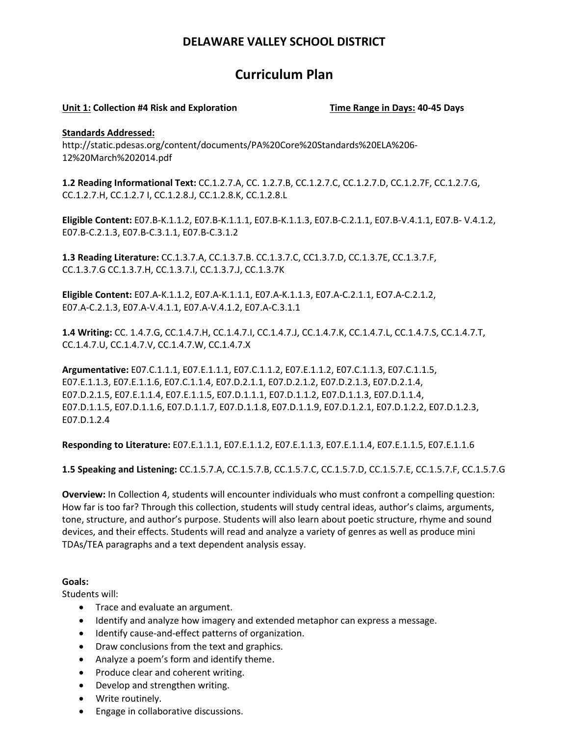# **Curriculum Plan**

### **Unit 1: Collection #4 Risk and Exploration Time Range in Days: 40‐45 Days**

### **Standards Addressed:**

http://static.pdesas.org/content/documents/PA%20Core%20Standards%20ELA%206‐ 12%20March%202014.pdf

**1.2 Reading Informational Text:** CC.1.2.7.A, CC. 1.2.7.B, CC.1.2.7.C, CC.1.2.7.D, CC.1.2.7F, CC.1.2.7.G, CC.1.2.7.H, CC.1.2.7 I, CC.1.2.8.J, CC.1.2.8.K, CC.1.2.8.L

**Eligible Content:** E07.B‐K.1.1.2, E07.B‐K.1.1.1, E07.B‐K.1.1.3, E07.B‐C.2.1.1, E07.B‐V.4.1.1, E07.B‐ V.4.1.2, E07.B‐C.2.1.3, E07.B‐C.3.1.1, E07.B‐C.3.1.2

**1.3 Reading Literature:** CC.1.3.7.A, CC.1.3.7.B. CC.1.3.7.C, CC1.3.7.D, CC.1.3.7E, CC.1.3.7.F, CC.1.3.7.G CC.1.3.7.H, CC.1.3.7.I, CC.1.3.7.J, CC.1.3.7K

**Eligible Content:** E07.A‐K.1.1.2, E07.A‐K.1.1.1, E07.A‐K.1.1.3, E07.A‐C.2.1.1, EO7.A‐C.2.1.2, E07.A‐C.2.1.3, E07.A‐V.4.1.1, E07.A‐V.4.1.2, E07.A‐C.3.1.1

**1.4 Writing:** CC. 1.4.7.G, CC.1.4.7.H, CC.1.4.7.I, CC.1.4.7.J, CC.1.4.7.K, CC.1.4.7.L, CC.1.4.7.S, CC.1.4.7.T, CC.1.4.7.U, CC.1.4.7.V, CC.1.4.7.W, CC.1.4.7.X

**Argumentative:** E07.C.1.1.1, E07.E.1.1.1, E07.C.1.1.2, E07.E.1.1.2, E07.C.1.1.3, E07.C.1.1.5, E07.E.1.1.3, E07.E.1.1.6, E07.C.1.1.4, E07.D.2.1.1, E07.D.2.1.2, E07.D.2.1.3, E07.D.2.1.4, E07.D.2.1.5, E07.E.1.1.4, E07.E.1.1.5, E07.D.1.1.1, E07.D.1.1.2, E07.D.1.1.3, E07.D.1.1.4, E07.D.1.1.5, E07.D.1.1.6, E07.D.1.1.7, E07.D.1.1.8, E07.D.1.1.9, E07.D.1.2.1, E07.D.1.2.2, E07.D.1.2.3, E07.D.1.2.4

**Responding to Literature:** E07.E.1.1.1, E07.E.1.1.2, E07.E.1.1.3, E07.E.1.1.4, E07.E.1.1.5, E07.E.1.1.6

**1.5 Speaking and Listening:** CC.1.5.7.A, CC.1.5.7.B, CC.1.5.7.C, CC.1.5.7.D, CC.1.5.7.E, CC.1.5.7.F, CC.1.5.7.G

**Overview:** In Collection 4, students will encounter individuals who must confront a compelling question: How far is too far? Through this collection, students will study central ideas, author's claims, arguments, tone, structure, and author's purpose. Students will also learn about poetic structure, rhyme and sound devices, and their effects. Students will read and analyze a variety of genres as well as produce mini TDAs/TEA paragraphs and a text dependent analysis essay.

### **Goals:**

Students will:

- Trace and evaluate an argument.
- Identify and analyze how imagery and extended metaphor can express a message.
- Identify cause‐and‐effect patterns of organization.
- Draw conclusions from the text and graphics.
- Analyze a poem's form and identify theme.
- Produce clear and coherent writing.
- Develop and strengthen writing.
- Write routinely.
- Engage in collaborative discussions.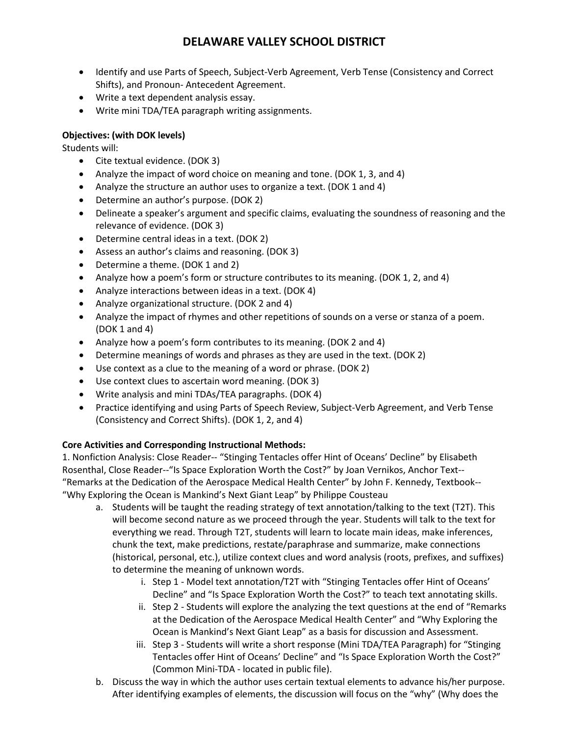- Identify and use Parts of Speech, Subject-Verb Agreement, Verb Tense (Consistency and Correct Shifts), and Pronoun- Antecedent Agreement.
- Write a text dependent analysis essay.
- Write mini TDA/TEA paragraph writing assignments.

### **Objectives: (with DOK levels)**

Students will:

- Cite textual evidence. (DOK 3)
- Analyze the impact of word choice on meaning and tone. (DOK 1, 3, and 4)
- Analyze the structure an author uses to organize a text. (DOK 1 and 4)
- Determine an author's purpose. (DOK 2)
- Delineate a speaker's argument and specific claims, evaluating the soundness of reasoning and the relevance of evidence. (DOK 3)
- Determine central ideas in a text. (DOK 2)
- Assess an author's claims and reasoning. (DOK 3)
- Determine a theme. (DOK 1 and 2)
- Analyze how a poem's form or structure contributes to its meaning. (DOK 1, 2, and 4)
- Analyze interactions between ideas in a text. (DOK 4)
- Analyze organizational structure. (DOK 2 and 4)
- Analyze the impact of rhymes and other repetitions of sounds on a verse or stanza of a poem. (DOK 1 and 4)
- Analyze how a poem's form contributes to its meaning. (DOK 2 and 4)
- Determine meanings of words and phrases as they are used in the text. (DOK 2)
- Use context as a clue to the meaning of a word or phrase. (DOK 2)
- Use context clues to ascertain word meaning. (DOK 3)
- Write analysis and mini TDAs/TEA paragraphs. (DOK 4)
- Practice identifying and using Parts of Speech Review, Subject-Verb Agreement, and Verb Tense (Consistency and Correct Shifts). (DOK 1, 2, and 4)

### **Core Activities and Corresponding Instructional Methods:**

1. Nonfiction Analysis: Close Reader-- "Stinging Tentacles offer Hint of Oceans' Decline" by Elisabeth Rosenthal, Close Reader--"Is Space Exploration Worth the Cost?" by Joan Vernikos, Anchor Text--"Remarks at the Dedication of the Aerospace Medical Health Center" by John F. Kennedy, Textbook--"Why Exploring the Ocean is Mankind's Next Giant Leap" by Philippe Cousteau

- a. Students will be taught the reading strategy of text annotation/talking to the text (T2T). This will become second nature as we proceed through the year. Students will talk to the text for everything we read. Through T2T, students will learn to locate main ideas, make inferences, chunk the text, make predictions, restate/paraphrase and summarize, make connections (historical, personal, etc.), utilize context clues and word analysis (roots, prefixes, and suffixes) to determine the meaning of unknown words.
	- i. Step 1 Model text annotation/T2T with "Stinging Tentacles offer Hint of Oceans' Decline" and "Is Space Exploration Worth the Cost?" to teach text annotating skills.
	- ii. Step 2 Students will explore the analyzing the text questions at the end of "Remarks" at the Dedication of the Aerospace Medical Health Center" and "Why Exploring the Ocean is Mankind's Next Giant Leap" as a basis for discussion and Assessment.
	- iii. Step 3 ‐ Students will write a short response (Mini TDA/TEA Paragraph) for "Stinging Tentacles offer Hint of Oceans' Decline" and "Is Space Exploration Worth the Cost?" (Common Mini‐TDA - located in public file).
- b. Discuss the way in which the author uses certain textual elements to advance his/her purpose. After identifying examples of elements, the discussion will focus on the "why" (Why does the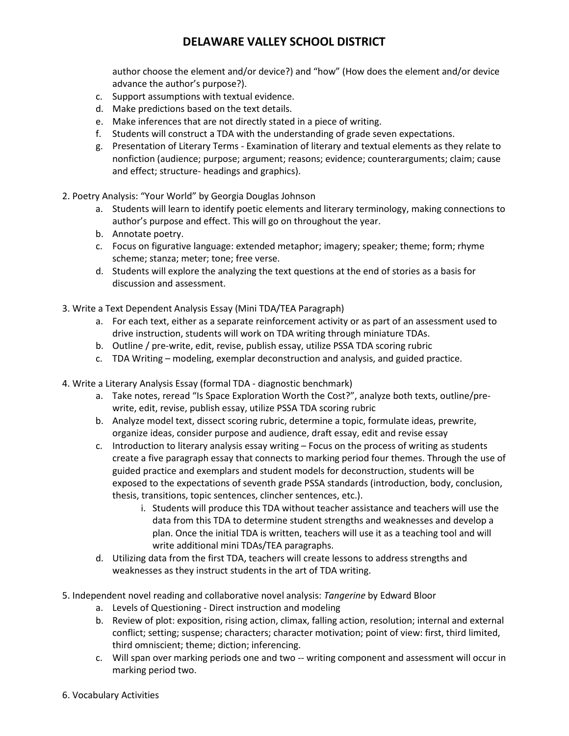author choose the element and/or device?) and "how" (How does the element and/or device advance the author's purpose?).

- c. Support assumptions with textual evidence.
- d. Make predictions based on the text details.
- e. Make inferences that are not directly stated in a piece of writing.
- f. Students will construct a TDA with the understanding of grade seven expectations.
- g. Presentation of Literary Terms ‐ Examination of literary and textual elements as they relate to nonfiction (audience; purpose; argument; reasons; evidence; counterarguments; claim; cause and effect; structure‐ headings and graphics).
- 2. Poetry Analysis: "Your World" by Georgia Douglas Johnson
	- a. Students will learn to identify poetic elements and literary terminology, making connections to author's purpose and effect. This will go on throughout the year.
	- b. Annotate poetry.
	- c. Focus on figurative language: extended metaphor; imagery; speaker; theme; form; rhyme scheme; stanza; meter; tone; free verse.
	- d. Students will explore the analyzing the text questions at the end of stories as a basis for discussion and assessment.
- 3. Write a Text Dependent Analysis Essay (Mini TDA/TEA Paragraph)
	- a. For each text, either as a separate reinforcement activity or as part of an assessment used to drive instruction, students will work on TDA writing through miniature TDAs.
	- b. Outline / pre‐write, edit, revise, publish essay, utilize PSSA TDA scoring rubric
	- c. TDA Writing modeling, exemplar deconstruction and analysis, and guided practice.
- 4. Write a Literary Analysis Essay (formal TDA ‐ diagnostic benchmark)
	- a. Take notes, reread "Is Space Exploration Worth the Cost?", analyze both texts, outline/pre‐ write, edit, revise, publish essay, utilize PSSA TDA scoring rubric
	- b. Analyze model text, dissect scoring rubric, determine a topic, formulate ideas, prewrite, organize ideas, consider purpose and audience, draft essay, edit and revise essay
	- c. Introduction to literary analysis essay writing Focus on the process of writing as students create a five paragraph essay that connects to marking period four themes. Through the use of guided practice and exemplars and student models for deconstruction, students will be exposed to the expectations of seventh grade PSSA standards (introduction, body, conclusion, thesis, transitions, topic sentences, clincher sentences, etc.).
		- i. Students will produce this TDA without teacher assistance and teachers will use the data from this TDA to determine student strengths and weaknesses and develop a plan. Once the initial TDA is written, teachers will use it as a teaching tool and will write additional mini TDAs/TEA paragraphs.
	- d. Utilizing data from the first TDA, teachers will create lessons to address strengths and weaknesses as they instruct students in the art of TDA writing.
- 5. Independent novel reading and collaborative novel analysis: *Tangerine* by Edward Bloor
	- a. Levels of Questioning ‐ Direct instruction and modeling
	- b. Review of plot: exposition, rising action, climax, falling action, resolution; internal and external conflict; setting; suspense; characters; character motivation; point of view: first, third limited, third omniscient; theme; diction; inferencing.
	- c. Will span over marking periods one and two -- writing component and assessment will occur in marking period two.
- 6. Vocabulary Activities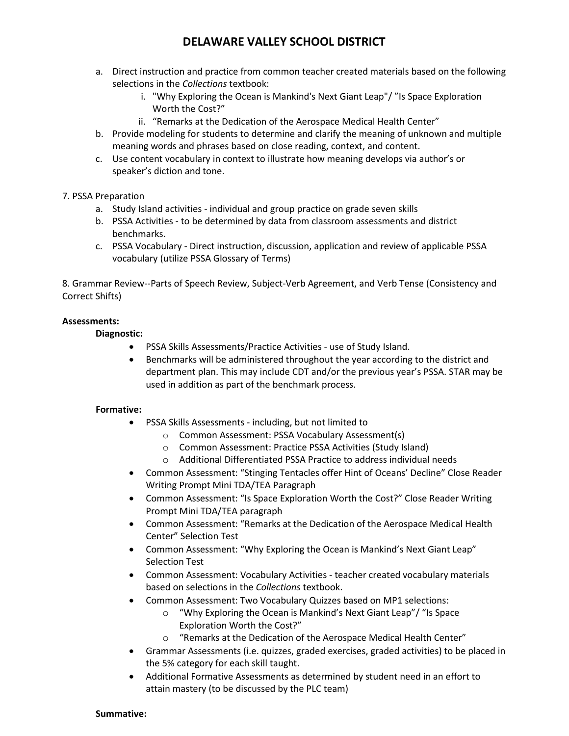- a. Direct instruction and practice from common teacher created materials based on the following selections in the *Collections* textbook:
	- i. "Why Exploring the Ocean is Mankind's Next Giant Leap"/ "Is Space Exploration Worth the Cost?"
	- ii. "Remarks at the Dedication of the Aerospace Medical Health Center"
- b. Provide modeling for students to determine and clarify the meaning of unknown and multiple meaning words and phrases based on close reading, context, and content.
- c. Use content vocabulary in context to illustrate how meaning develops via author's or speaker's diction and tone.

### 7. PSSA Preparation

- a. Study Island activities ‐ individual and group practice on grade seven skills
- b. PSSA Activities ‐ to be determined by data from classroom assessments and district benchmarks.
- c. PSSA Vocabulary ‐ Direct instruction, discussion, application and review of applicable PSSA vocabulary (utilize PSSA Glossary of Terms)

8. Grammar Review‐‐Parts of Speech Review, Subject-Verb Agreement, and Verb Tense (Consistency and Correct Shifts)

### **Assessments:**

### **Diagnostic:**

- PSSA Skills Assessments/Practice Activities ‐ use of Study Island.
- Benchmarks will be administered throughout the year according to the district and department plan. This may include CDT and/or the previous year's PSSA. STAR may be used in addition as part of the benchmark process.

### **Formative:**

- PSSA Skills Assessments ‐ including, but not limited to
	- o Common Assessment: PSSA Vocabulary Assessment(s)
	- o Common Assessment: Practice PSSA Activities (Study Island)
	- o Additional Differentiated PSSA Practice to address individual needs
- Common Assessment: "Stinging Tentacles offer Hint of Oceans' Decline" Close Reader Writing Prompt Mini TDA/TEA Paragraph
- Common Assessment: "Is Space Exploration Worth the Cost?" Close Reader Writing Prompt Mini TDA/TEA paragraph
- Common Assessment: "Remarks at the Dedication of the Aerospace Medical Health Center" Selection Test
- Common Assessment: "Why Exploring the Ocean is Mankind's Next Giant Leap" Selection Test
- Common Assessment: Vocabulary Activities teacher created vocabulary materials based on selections in the *Collections* textbook.
- Common Assessment: Two Vocabulary Quizzes based on MP1 selections:
	- o "Why Exploring the Ocean is Mankind's Next Giant Leap"/ "Is Space Exploration Worth the Cost?"
	- o "Remarks at the Dedication of the Aerospace Medical Health Center"
- Grammar Assessments (i.e. quizzes, graded exercises, graded activities) to be placed in the 5% category for each skill taught.
- Additional Formative Assessments as determined by student need in an effort to attain mastery (to be discussed by the PLC team)

#### **Summative:**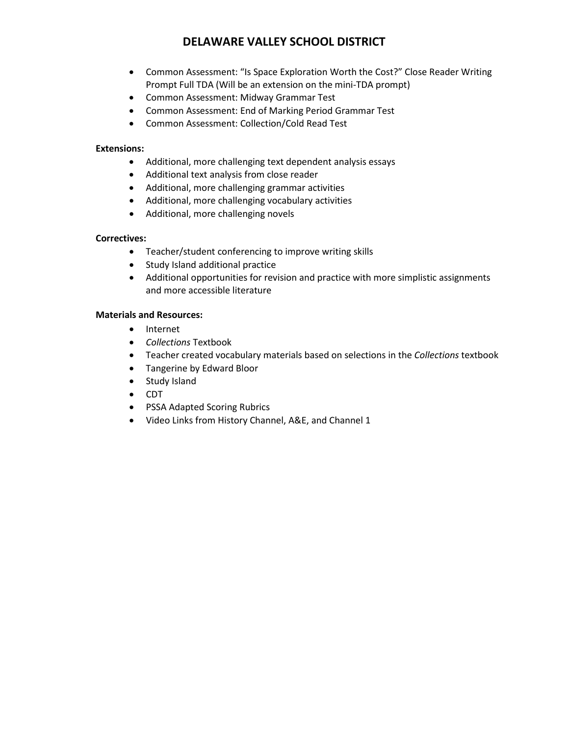- Common Assessment: "Is Space Exploration Worth the Cost?" Close Reader Writing Prompt Full TDA (Will be an extension on the mini-TDA prompt)
- Common Assessment: Midway Grammar Test
- Common Assessment: End of Marking Period Grammar Test
- Common Assessment: Collection/Cold Read Test

### **Extensions:**

- Additional, more challenging text dependent analysis essays
- Additional text analysis from close reader
- Additional, more challenging grammar activities
- Additional, more challenging vocabulary activities
- Additional, more challenging novels

### **Correctives:**

- Teacher/student conferencing to improve writing skills
- Study Island additional practice
- Additional opportunities for revision and practice with more simplistic assignments and more accessible literature

### **Materials and Resources:**

- Internet
- *Collections* Textbook
- Teacher created vocabulary materials based on selections in the *Collections* textbook
- Tangerine by Edward Bloor
- Study Island
- CDT
- PSSA Adapted Scoring Rubrics
- Video Links from History Channel, A&E, and Channel 1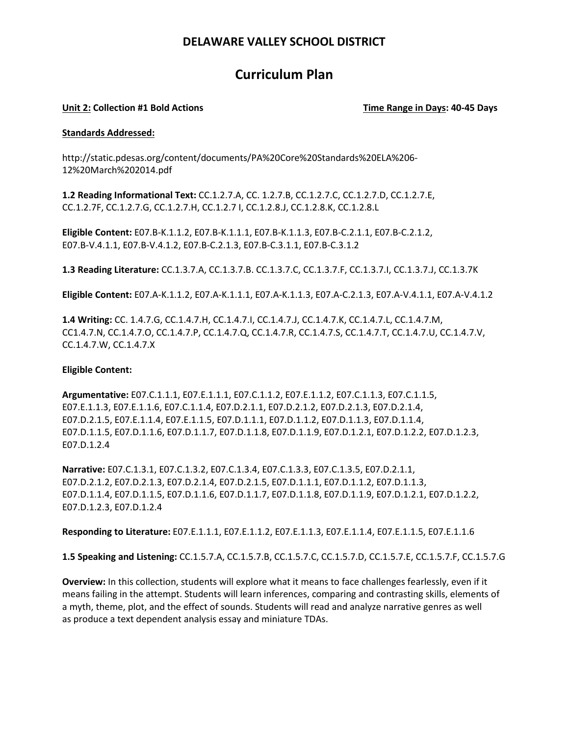## **Curriculum Plan**

### **Unit 2: Collection #1 Bold Actions Time Range in Days: 40‐45 Days**

#### **Standards Addressed:**

http://static.pdesas.org/content/documents/PA%20Core%20Standards%20ELA%206‐ 12%20March%202014.pdf

**1.2 Reading Informational Text:** CC.1.2.7.A, CC. 1.2.7.B, CC.1.2.7.C, CC.1.2.7.D, CC.1.2.7.E, CC.1.2.7F, CC.1.2.7.G, CC.1.2.7.H, CC.1.2.7 I, CC.1.2.8.J, CC.1.2.8.K, CC.1.2.8.L

**Eligible Content:** E07.B‐K.1.1.2, E07.B‐K.1.1.1, E07.B‐K.1.1.3, E07.B‐C.2.1.1, E07.B‐C.2.1.2, E07.B‐V.4.1.1, E07.B‐V.4.1.2, E07.B‐C.2.1.3, E07.B‐C.3.1.1, E07.B‐C.3.1.2

**1.3 Reading Literature:** CC.1.3.7.A, CC.1.3.7.B. CC.1.3.7.C, CC.1.3.7.F, CC.1.3.7.I, CC.1.3.7.J, CC.1.3.7K

**Eligible Content:** E07.A‐K.1.1.2, E07.A‐K.1.1.1, E07.A‐K.1.1.3, E07.A‐C.2.1.3, E07.A‐V.4.1.1, E07.A‐V.4.1.2

**1.4 Writing:** CC. 1.4.7.G, CC.1.4.7.H, CC.1.4.7.I, CC.1.4.7.J, CC.1.4.7.K, CC.1.4.7.L, CC.1.4.7.M, CC1.4.7.N, CC.1.4.7.O, CC.1.4.7.P, CC.1.4.7.Q, CC.1.4.7.R, CC.1.4.7.S, CC.1.4.7.T, CC.1.4.7.U, CC.1.4.7.V, CC.1.4.7.W, CC.1.4.7.X

#### **Eligible Content:**

**Argumentative:** E07.C.1.1.1, E07.E.1.1.1, E07.C.1.1.2, E07.E.1.1.2, E07.C.1.1.3, E07.C.1.1.5, E07.E.1.1.3, E07.E.1.1.6, E07.C.1.1.4, E07.D.2.1.1, E07.D.2.1.2, E07.D.2.1.3, E07.D.2.1.4, E07.D.2.1.5, E07.E.1.1.4, E07.E.1.1.5, E07.D.1.1.1, E07.D.1.1.2, E07.D.1.1.3, E07.D.1.1.4, E07.D.1.1.5, E07.D.1.1.6, E07.D.1.1.7, E07.D.1.1.8, E07.D.1.1.9, E07.D.1.2.1, E07.D.1.2.2, E07.D.1.2.3, E07.D.1.2.4

**Narrative:** E07.C.1.3.1, E07.C.1.3.2, E07.C.1.3.4, E07.C.1.3.3, E07.C.1.3.5, E07.D.2.1.1, E07.D.2.1.2, E07.D.2.1.3, E07.D.2.1.4, E07.D.2.1.5, E07.D.1.1.1, E07.D.1.1.2, E07.D.1.1.3, E07.D.1.1.4, E07.D.1.1.5, E07.D.1.1.6, E07.D.1.1.7, E07.D.1.1.8, E07.D.1.1.9, E07.D.1.2.1, E07.D.1.2.2, E07.D.1.2.3, E07.D.1.2.4

**Responding to Literature:** E07.E.1.1.1, E07.E.1.1.2, E07.E.1.1.3, E07.E.1.1.4, E07.E.1.1.5, E07.E.1.1.6

**1.5 Speaking and Listening:** CC.1.5.7.A, CC.1.5.7.B, CC.1.5.7.C, CC.1.5.7.D, CC.1.5.7.E, CC.1.5.7.F, CC.1.5.7.G

**Overview:** In this collection, students will explore what it means to face challenges fearlessly, even if it means failing in the attempt. Students will learn inferences, comparing and contrasting skills, elements of a myth, theme, plot, and the effect of sounds. Students will read and analyze narrative genres as well as produce a text dependent analysis essay and miniature TDAs.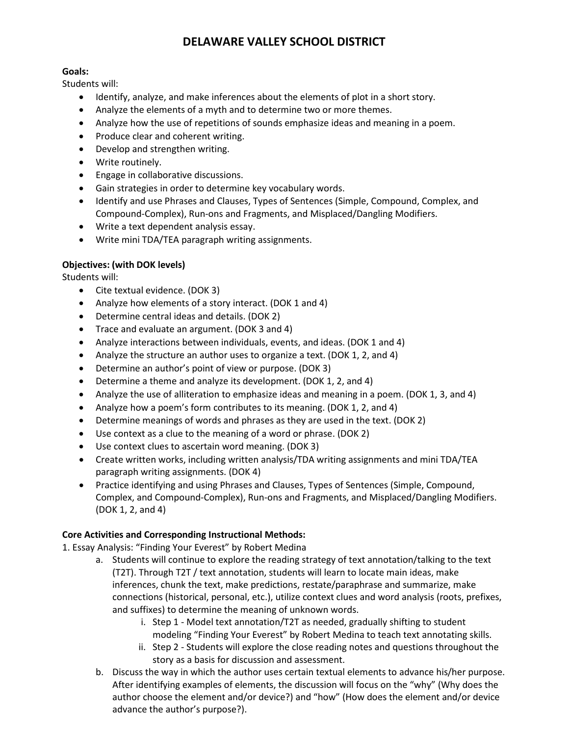### **Goals:**

Students will:

- Identify, analyze, and make inferences about the elements of plot in a short story.
- Analyze the elements of a myth and to determine two or more themes.
- Analyze how the use of repetitions of sounds emphasize ideas and meaning in a poem.
- Produce clear and coherent writing.
- Develop and strengthen writing.
- Write routinely.
- Engage in collaborative discussions.
- Gain strategies in order to determine key vocabulary words.
- Identify and use Phrases and Clauses, Types of Sentences (Simple, Compound, Complex, and Compound-Complex), Run-ons and Fragments, and Misplaced/Dangling Modifiers.
- Write a text dependent analysis essay.
- Write mini TDA/TEA paragraph writing assignments.

### **Objectives: (with DOK levels)**

Students will:

- Cite textual evidence. (DOK 3)
- Analyze how elements of a story interact. (DOK 1 and 4)
- Determine central ideas and details. (DOK 2)
- Trace and evaluate an argument. (DOK 3 and 4)
- Analyze interactions between individuals, events, and ideas. (DOK 1 and 4)
- Analyze the structure an author uses to organize a text. (DOK 1, 2, and 4)
- Determine an author's point of view or purpose. (DOK 3)
- Determine a theme and analyze its development. (DOK 1, 2, and 4)
- Analyze the use of alliteration to emphasize ideas and meaning in a poem. (DOK 1, 3, and 4)
- Analyze how a poem's form contributes to its meaning. (DOK 1, 2, and 4)
- Determine meanings of words and phrases as they are used in the text. (DOK 2)
- Use context as a clue to the meaning of a word or phrase. (DOK 2)
- Use context clues to ascertain word meaning. (DOK 3)
- Create written works, including written analysis/TDA writing assignments and mini TDA/TEA paragraph writing assignments. (DOK 4)
- Practice identifying and using Phrases and Clauses, Types of Sentences (Simple, Compound, Complex, and Compound-Complex), Run-ons and Fragments, and Misplaced/Dangling Modifiers. (DOK 1, 2, and 4)

### **Core Activities and Corresponding Instructional Methods:**

1. Essay Analysis: "Finding Your Everest" by Robert Medina

- a. Students will continue to explore the reading strategy of text annotation/talking to the text (T2T). Through T2T / text annotation, students will learn to locate main ideas, make inferences, chunk the text, make predictions, restate/paraphrase and summarize, make connections (historical, personal, etc.), utilize context clues and word analysis (roots, prefixes, and suffixes) to determine the meaning of unknown words.
	- i. Step 1 Model text annotation/T2T as needed, gradually shifting to student modeling "Finding Your Everest" by Robert Medina to teach text annotating skills.
	- ii. Step 2 ‐ Students will explore the close reading notes and questions throughout the story as a basis for discussion and assessment.
- b. Discuss the way in which the author uses certain textual elements to advance his/her purpose. After identifying examples of elements, the discussion will focus on the "why" (Why does the author choose the element and/or device?) and "how" (How does the element and/or device advance the author's purpose?).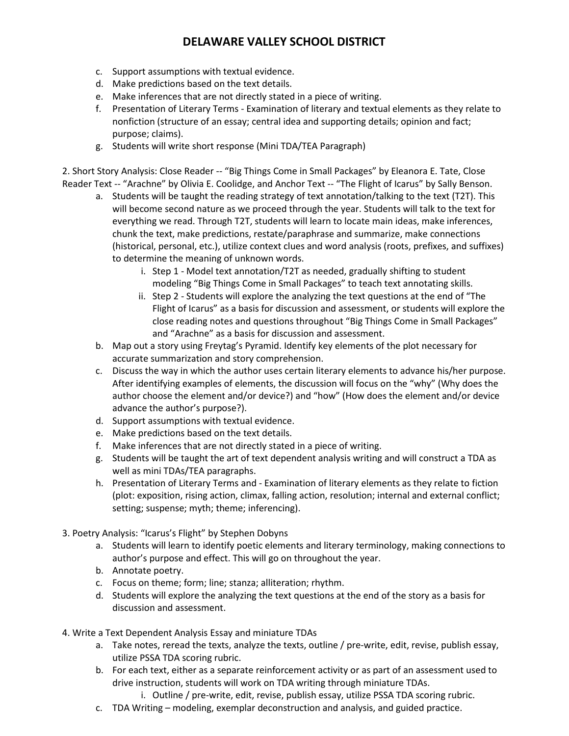- c. Support assumptions with textual evidence.
- d. Make predictions based on the text details.
- e. Make inferences that are not directly stated in a piece of writing.
- f. Presentation of Literary Terms ‐ Examination of literary and textual elements as they relate to nonfiction (structure of an essay; central idea and supporting details; opinion and fact; purpose; claims).
- g. Students will write short response (Mini TDA/TEA Paragraph)

2. Short Story Analysis: Close Reader -- "Big Things Come in Small Packages" by Eleanora E. Tate, Close Reader Text -- "Arachne" by Olivia E. Coolidge, and Anchor Text -- "The Flight of Icarus" by Sally Benson.

- a. Students will be taught the reading strategy of text annotation/talking to the text (T2T). This will become second nature as we proceed through the year. Students will talk to the text for everything we read. Through T2T, students will learn to locate main ideas, make inferences, chunk the text, make predictions, restate/paraphrase and summarize, make connections (historical, personal, etc.), utilize context clues and word analysis (roots, prefixes, and suffixes) to determine the meaning of unknown words.
	- i. Step 1 Model text annotation/T2T as needed, gradually shifting to student modeling "Big Things Come in Small Packages" to teach text annotating skills.
	- ii. Step 2 ‐ Students will explore the analyzing the text questions at the end of "The Flight of Icarus" as a basis for discussion and assessment, or students will explore the close reading notes and questions throughout "Big Things Come in Small Packages" and "Arachne" as a basis for discussion and assessment.
- b. Map out a story using Freytag's Pyramid. Identify key elements of the plot necessary for accurate summarization and story comprehension.
- c. Discuss the way in which the author uses certain literary elements to advance his/her purpose. After identifying examples of elements, the discussion will focus on the "why" (Why does the author choose the element and/or device?) and "how" (How does the element and/or device advance the author's purpose?).
- d. Support assumptions with textual evidence.
- e. Make predictions based on the text details.
- f. Make inferences that are not directly stated in a piece of writing.
- g. Students will be taught the art of text dependent analysis writing and will construct a TDA as well as mini TDAs/TEA paragraphs.
- h. Presentation of Literary Terms and ‐ Examination of literary elements as they relate to fiction (plot: exposition, rising action, climax, falling action, resolution; internal and external conflict; setting; suspense; myth; theme; inferencing).
- 3. Poetry Analysis: "Icarus's Flight" by Stephen Dobyns
	- a. Students will learn to identify poetic elements and literary terminology, making connections to author's purpose and effect. This will go on throughout the year.
	- b. Annotate poetry.
	- c. Focus on theme; form; line; stanza; alliteration; rhythm.
	- d. Students will explore the analyzing the text questions at the end of the story as a basis for discussion and assessment.
- 4. Write a Text Dependent Analysis Essay and miniature TDAs
	- a. Take notes, reread the texts, analyze the texts, outline / pre-write, edit, revise, publish essay, utilize PSSA TDA scoring rubric.
	- b. For each text, either as a separate reinforcement activity or as part of an assessment used to drive instruction, students will work on TDA writing through miniature TDAs.
		- i. Outline / pre-write, edit, revise, publish essay, utilize PSSA TDA scoring rubric.
	- c. TDA Writing modeling, exemplar deconstruction and analysis, and guided practice.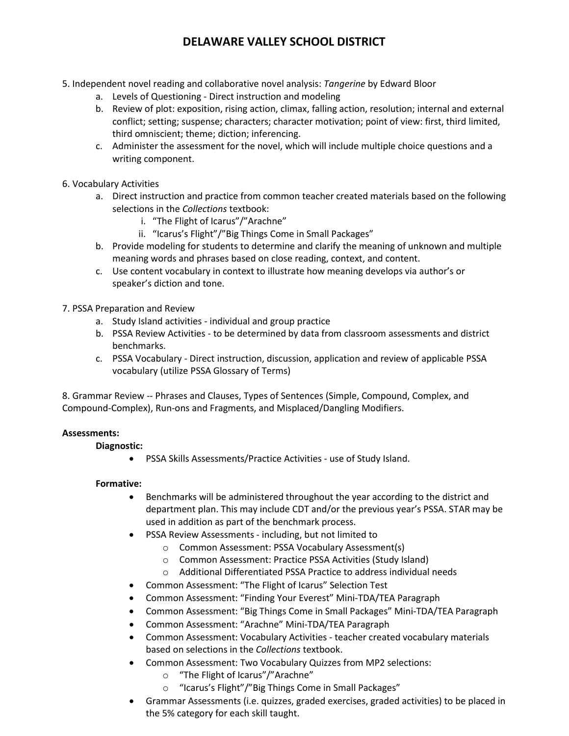- 5. Independent novel reading and collaborative novel analysis: *Tangerine* by Edward Bloor
	- a. Levels of Questioning ‐ Direct instruction and modeling
	- b. Review of plot: exposition, rising action, climax, falling action, resolution; internal and external conflict; setting; suspense; characters; character motivation; point of view: first, third limited, third omniscient; theme; diction; inferencing.
	- c. Administer the assessment for the novel, which will include multiple choice questions and a writing component.
- 6. Vocabulary Activities
	- a. Direct instruction and practice from common teacher created materials based on the following selections in the *Collections* textbook:
		- i. "The Flight of Icarus"/"Arachne"
		- ii. "Icarus's Flight"/"Big Things Come in Small Packages"
	- b. Provide modeling for students to determine and clarify the meaning of unknown and multiple meaning words and phrases based on close reading, context, and content.
	- c. Use content vocabulary in context to illustrate how meaning develops via author's or speaker's diction and tone.
- 7. PSSA Preparation and Review
	- a. Study Island activities ‐ individual and group practice
	- b. PSSA Review Activities ‐ to be determined by data from classroom assessments and district benchmarks.
	- c. PSSA Vocabulary ‐ Direct instruction, discussion, application and review of applicable PSSA vocabulary (utilize PSSA Glossary of Terms)

8. Grammar Review ‐‐ Phrases and Clauses, Types of Sentences (Simple, Compound, Complex, and Compound-Complex), Run-ons and Fragments, and Misplaced/Dangling Modifiers.

### **Assessments:**

### **Diagnostic:**

• PSSA Skills Assessments/Practice Activities ‐ use of Study Island.

### **Formative:**

- Benchmarks will be administered throughout the year according to the district and department plan. This may include CDT and/or the previous year's PSSA. STAR may be used in addition as part of the benchmark process.
- PSSA Review Assessments ‐ including, but not limited to
	- o Common Assessment: PSSA Vocabulary Assessment(s)
	- o Common Assessment: Practice PSSA Activities (Study Island)
	- o Additional Differentiated PSSA Practice to address individual needs
- Common Assessment: "The Flight of Icarus" Selection Test
- Common Assessment: "Finding Your Everest" Mini‐TDA/TEA Paragraph
- Common Assessment: "Big Things Come in Small Packages" Mini‐TDA/TEA Paragraph
- Common Assessment: "Arachne" Mini‐TDA/TEA Paragraph
- Common Assessment: Vocabulary Activities teacher created vocabulary materials based on selections in the *Collections* textbook.
- Common Assessment: Two Vocabulary Quizzes from MP2 selections:
	- o "The Flight of Icarus"/"Arachne"
	- o "Icarus's Flight"/"Big Things Come in Small Packages"
- Grammar Assessments (i.e. quizzes, graded exercises, graded activities) to be placed in the 5% category for each skill taught.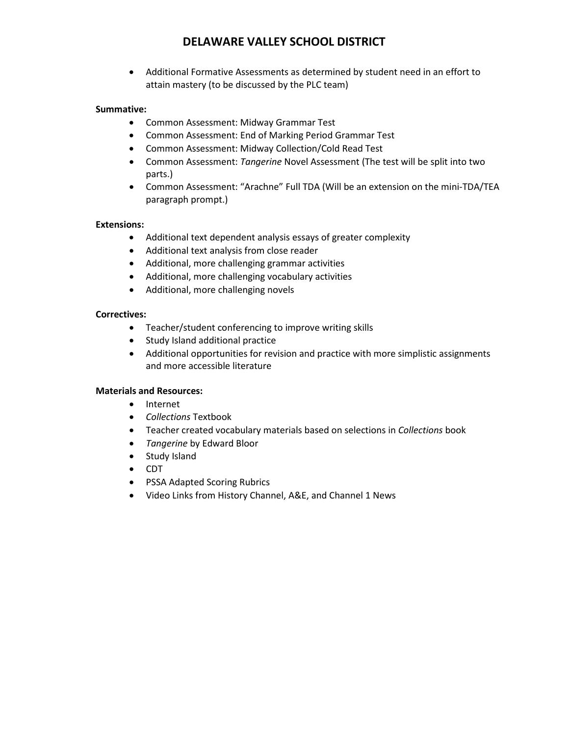• Additional Formative Assessments as determined by student need in an effort to attain mastery (to be discussed by the PLC team)

### **Summative:**

- Common Assessment: Midway Grammar Test
- Common Assessment: End of Marking Period Grammar Test
- Common Assessment: Midway Collection/Cold Read Test
- Common Assessment: *Tangerine* Novel Assessment (The test will be split into two parts.)
- Common Assessment: "Arachne" Full TDA (Will be an extension on the mini-TDA/TEA paragraph prompt.)

### **Extensions:**

- Additional text dependent analysis essays of greater complexity
- Additional text analysis from close reader
- Additional, more challenging grammar activities
- Additional, more challenging vocabulary activities
- Additional, more challenging novels

#### **Correctives:**

- Teacher/student conferencing to improve writing skills
- Study Island additional practice
- Additional opportunities for revision and practice with more simplistic assignments and more accessible literature

### **Materials and Resources:**

- Internet
- *Collections* Textbook
- Teacher created vocabulary materials based on selections in *Collections* book
- *Tangerine* by Edward Bloor
- Study Island
- CDT
- PSSA Adapted Scoring Rubrics
- Video Links from History Channel, A&E, and Channel 1 News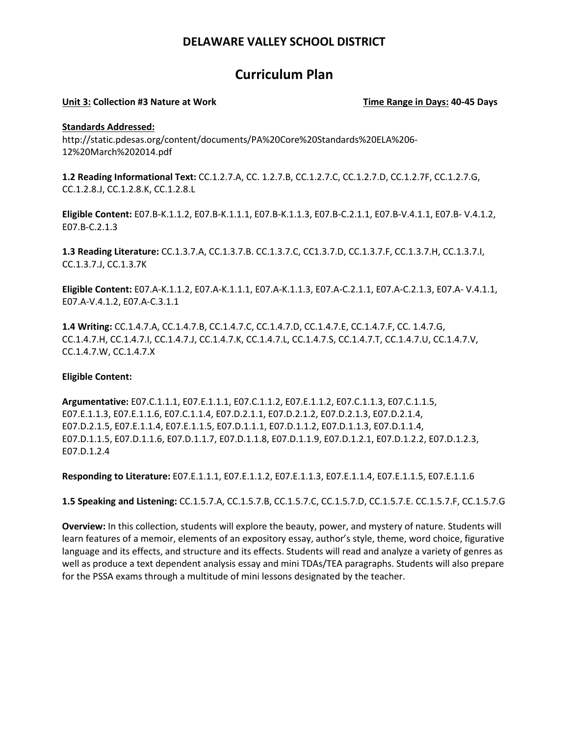## **Curriculum Plan**

#### Unit 3: Collection #3 Nature at Work Time Range in Days: 40-45 Days

#### **Standards Addressed:**

http://static.pdesas.org/content/documents/PA%20Core%20Standards%20ELA%206‐ 12%20March%202014.pdf

**1.2 Reading Informational Text:** CC.1.2.7.A, CC. 1.2.7.B, CC.1.2.7.C, CC.1.2.7.D, CC.1.2.7F, CC.1.2.7.G, CC.1.2.8.J, CC.1.2.8.K, CC.1.2.8.L

**Eligible Content:** E07.B‐K.1.1.2, E07.B‐K.1.1.1, E07.B‐K.1.1.3, E07.B‐C.2.1.1, E07.B‐V.4.1.1, E07.B‐ V.4.1.2, E07.B‐C.2.1.3

**1.3 Reading Literature:** CC.1.3.7.A, CC.1.3.7.B. CC.1.3.7.C, CC1.3.7.D, CC.1.3.7.F, CC.1.3.7.H, CC.1.3.7.I, CC.1.3.7.J, CC.1.3.7K

**Eligible Content:** E07.A‐K.1.1.2, E07.A‐K.1.1.1, E07.A‐K.1.1.3, E07.A‐C.2.1.1, E07.A‐C.2.1.3, E07.A‐ V.4.1.1, E07.A‐V.4.1.2, E07.A‐C.3.1.1

**1.4 Writing:** CC.1.4.7.A, CC.1.4.7.B, CC.1.4.7.C, CC.1.4.7.D, CC.1.4.7.E, CC.1.4.7.F, CC. 1.4.7.G, CC.1.4.7.H, CC.1.4.7.I, CC.1.4.7.J, CC.1.4.7.K, CC.1.4.7.L, CC.1.4.7.S, CC.1.4.7.T, CC.1.4.7.U, CC.1.4.7.V, CC.1.4.7.W, CC.1.4.7.X

### **Eligible Content:**

**Argumentative:** E07.C.1.1.1, E07.E.1.1.1, E07.C.1.1.2, E07.E.1.1.2, E07.C.1.1.3, E07.C.1.1.5, E07.E.1.1.3, E07.E.1.1.6, E07.C.1.1.4, E07.D.2.1.1, E07.D.2.1.2, E07.D.2.1.3, E07.D.2.1.4, E07.D.2.1.5, E07.E.1.1.4, E07.E.1.1.5, E07.D.1.1.1, E07.D.1.1.2, E07.D.1.1.3, E07.D.1.1.4, E07.D.1.1.5, E07.D.1.1.6, E07.D.1.1.7, E07.D.1.1.8, E07.D.1.1.9, E07.D.1.2.1, E07.D.1.2.2, E07.D.1.2.3, E07.D.1.2.4

**Responding to Literature:** E07.E.1.1.1, E07.E.1.1.2, E07.E.1.1.3, E07.E.1.1.4, E07.E.1.1.5, E07.E.1.1.6

**1.5 Speaking and Listening:** CC.1.5.7.A, CC.1.5.7.B, CC.1.5.7.C, CC.1.5.7.D, CC.1.5.7.E. CC.1.5.7.F, CC.1.5.7.G

**Overview:** In this collection, students will explore the beauty, power, and mystery of nature. Students will learn features of a memoir, elements of an expository essay, author's style, theme, word choice, figurative language and its effects, and structure and its effects. Students will read and analyze a variety of genres as well as produce a text dependent analysis essay and mini TDAs/TEA paragraphs. Students will also prepare for the PSSA exams through a multitude of mini lessons designated by the teacher.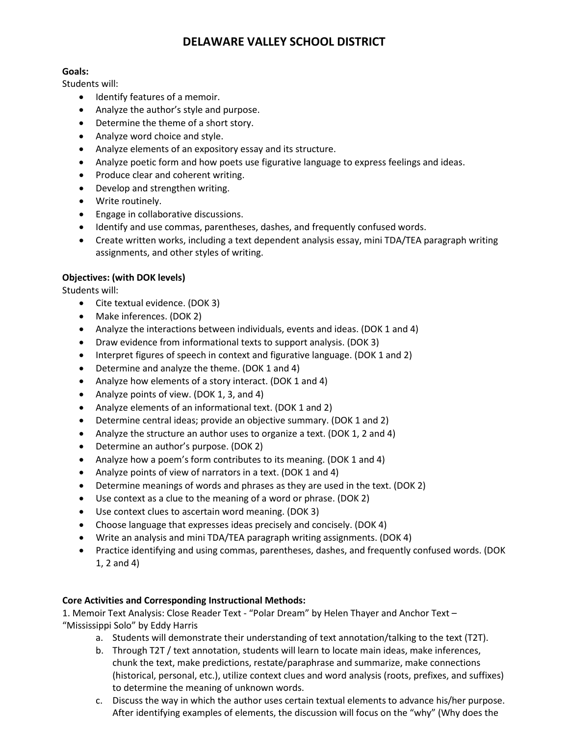### **Goals:**

Students will:

- Identify features of a memoir.
- Analyze the author's style and purpose.
- Determine the theme of a short story.
- Analyze word choice and style.
- Analyze elements of an expository essay and its structure.
- Analyze poetic form and how poets use figurative language to express feelings and ideas.
- Produce clear and coherent writing.
- Develop and strengthen writing.
- Write routinely.
- Engage in collaborative discussions.
- Identify and use commas, parentheses, dashes, and frequently confused words.
- Create written works, including a text dependent analysis essay, mini TDA/TEA paragraph writing assignments, and other styles of writing.

### **Objectives: (with DOK levels)**

Students will:

- Cite textual evidence. (DOK 3)
- Make inferences. (DOK 2)
- Analyze the interactions between individuals, events and ideas. (DOK 1 and 4)
- Draw evidence from informational texts to support analysis. (DOK 3)
- Interpret figures of speech in context and figurative language. (DOK 1 and 2)
- Determine and analyze the theme. (DOK 1 and 4)
- Analyze how elements of a story interact. (DOK 1 and 4)
- Analyze points of view. (DOK 1, 3, and 4)
- Analyze elements of an informational text. (DOK 1 and 2)
- Determine central ideas; provide an objective summary. (DOK 1 and 2)
- Analyze the structure an author uses to organize a text. (DOK 1, 2 and 4)
- Determine an author's purpose. (DOK 2)
- Analyze how a poem's form contributes to its meaning. (DOK 1 and 4)
- Analyze points of view of narrators in a text. (DOK 1 and 4)
- Determine meanings of words and phrases as they are used in the text. (DOK 2)
- Use context as a clue to the meaning of a word or phrase. (DOK 2)
- Use context clues to ascertain word meaning. (DOK 3)
- Choose language that expresses ideas precisely and concisely. (DOK 4)
- Write an analysis and mini TDA/TEA paragraph writing assignments. (DOK 4)
- Practice identifying and using commas, parentheses, dashes, and frequently confused words. (DOK 1, 2 and 4)

### **Core Activities and Corresponding Instructional Methods:**

1. Memoir Text Analysis: Close Reader Text - "Polar Dream" by Helen Thayer and Anchor Text – "Mississippi Solo" by Eddy Harris

- a. Students will demonstrate their understanding of text annotation/talking to the text (T2T).
- b. Through T2T / text annotation, students will learn to locate main ideas, make inferences, chunk the text, make predictions, restate/paraphrase and summarize, make connections (historical, personal, etc.), utilize context clues and word analysis (roots, prefixes, and suffixes) to determine the meaning of unknown words.
- c. Discuss the way in which the author uses certain textual elements to advance his/her purpose. After identifying examples of elements, the discussion will focus on the "why" (Why does the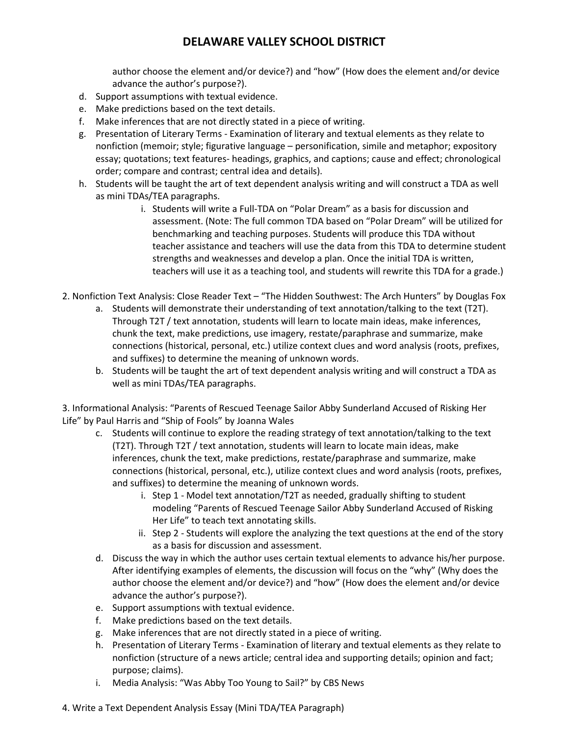author choose the element and/or device?) and "how" (How does the element and/or device advance the author's purpose?).

- d. Support assumptions with textual evidence.
- e. Make predictions based on the text details.
- f. Make inferences that are not directly stated in a piece of writing.
- g. Presentation of Literary Terms ‐ Examination of literary and textual elements as they relate to nonfiction (memoir; style; figurative language – personification, simile and metaphor; expository essay; quotations; text features‐ headings, graphics, and captions; cause and effect; chronological order; compare and contrast; central idea and details).
- h. Students will be taught the art of text dependent analysis writing and will construct a TDA as well as mini TDAs/TEA paragraphs.
	- i. Students will write a Full-TDA on "Polar Dream" as a basis for discussion and assessment. (Note: The full common TDA based on "Polar Dream" will be utilized for benchmarking and teaching purposes. Students will produce this TDA without teacher assistance and teachers will use the data from this TDA to determine student strengths and weaknesses and develop a plan. Once the initial TDA is written, teachers will use it as a teaching tool, and students will rewrite this TDA for a grade.)
- 2. Nonfiction Text Analysis: Close Reader Text "The Hidden Southwest: The Arch Hunters" by Douglas Fox
	- a. Students will demonstrate their understanding of text annotation/talking to the text (T2T). Through T2T / text annotation, students will learn to locate main ideas, make inferences, chunk the text, make predictions, use imagery, restate/paraphrase and summarize, make connections (historical, personal, etc.) utilize context clues and word analysis (roots, prefixes, and suffixes) to determine the meaning of unknown words.
	- b. Students will be taught the art of text dependent analysis writing and will construct a TDA as well as mini TDAs/TEA paragraphs.

3. Informational Analysis: "Parents of Rescued Teenage Sailor Abby Sunderland Accused of Risking Her Life" by Paul Harris and "Ship of Fools" by Joanna Wales

- c. Students will continue to explore the reading strategy of text annotation/talking to the text (T2T). Through T2T / text annotation, students will learn to locate main ideas, make inferences, chunk the text, make predictions, restate/paraphrase and summarize, make connections (historical, personal, etc.), utilize context clues and word analysis (roots, prefixes, and suffixes) to determine the meaning of unknown words.
	- i. Step 1 Model text annotation/T2T as needed, gradually shifting to student modeling "Parents of Rescued Teenage Sailor Abby Sunderland Accused of Risking Her Life" to teach text annotating skills.
	- ii. Step 2 ‐ Students will explore the analyzing the text questions at the end of the story as a basis for discussion and assessment.
- d. Discuss the way in which the author uses certain textual elements to advance his/her purpose. After identifying examples of elements, the discussion will focus on the "why" (Why does the author choose the element and/or device?) and "how" (How does the element and/or device advance the author's purpose?).
- e. Support assumptions with textual evidence.
- f. Make predictions based on the text details.
- g. Make inferences that are not directly stated in a piece of writing.
- h. Presentation of Literary Terms ‐ Examination of literary and textual elements as they relate to nonfiction (structure of a news article; central idea and supporting details; opinion and fact; purpose; claims).
- i. Media Analysis: "Was Abby Too Young to Sail?" by CBS News
- 4. Write a Text Dependent Analysis Essay (Mini TDA/TEA Paragraph)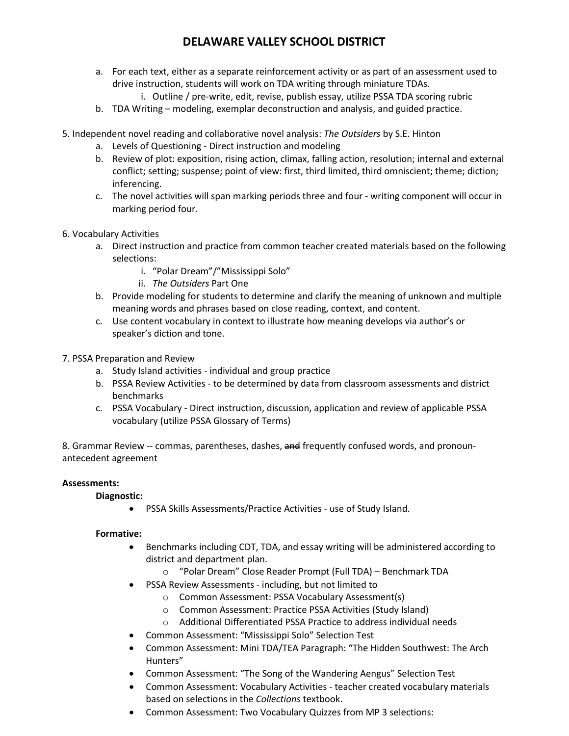- a. For each text, either as a separate reinforcement activity or as part of an assessment used to drive instruction, students will work on TDA writing through miniature TDAs.
	- i. Outline / pre-write, edit, revise, publish essay, utilize PSSA TDA scoring rubric
- b. TDA Writing modeling, exemplar deconstruction and analysis, and guided practice.
- 5. Independent novel reading and collaborative novel analysis: *The Outsiders* by S.E. Hinton
	- a. Levels of Questioning ‐ Direct instruction and modeling
	- b. Review of plot: exposition, rising action, climax, falling action, resolution; internal and external conflict; setting; suspense; point of view: first, third limited, third omniscient; theme; diction; inferencing.
	- c. The novel activities will span marking periods three and four ‐ writing component will occur in marking period four.
- 6. Vocabulary Activities
	- a. Direct instruction and practice from common teacher created materials based on the following selections:
		- i. "Polar Dream"/"Mississippi Solo"
		- ii. *The Outsiders* Part One
	- b. Provide modeling for students to determine and clarify the meaning of unknown and multiple meaning words and phrases based on close reading, context, and content.
	- c. Use content vocabulary in context to illustrate how meaning develops via author's or speaker's diction and tone.
- 7. PSSA Preparation and Review
	- a. Study Island activities ‐ individual and group practice
	- b. PSSA Review Activities ‐ to be determined by data from classroom assessments and district benchmarks
	- c. PSSA Vocabulary ‐ Direct instruction, discussion, application and review of applicable PSSA vocabulary (utilize PSSA Glossary of Terms)

8. Grammar Review -- commas, parentheses, dashes, and frequently confused words, and pronounantecedent agreement

### **Assessments:**

### **Diagnostic:**

• PSSA Skills Assessments/Practice Activities ‐ use of Study Island.

### **Formative:**

- Benchmarks including CDT, TDA, and essay writing will be administered according to district and department plan.
	- o "Polar Dream" Close Reader Prompt (Full TDA) Benchmark TDA
- PSSA Review Assessments ‐ including, but not limited to
	- o Common Assessment: PSSA Vocabulary Assessment(s)
	- o Common Assessment: Practice PSSA Activities (Study Island)
	- o Additional Differentiated PSSA Practice to address individual needs
- Common Assessment: "Mississippi Solo" Selection Test
- Common Assessment: Mini TDA/TEA Paragraph: "The Hidden Southwest: The Arch Hunters"
- Common Assessment: "The Song of the Wandering Aengus" Selection Test
- Common Assessment: Vocabulary Activities teacher created vocabulary materials based on selections in the *Collections* textbook.
- Common Assessment: Two Vocabulary Quizzes from MP 3 selections: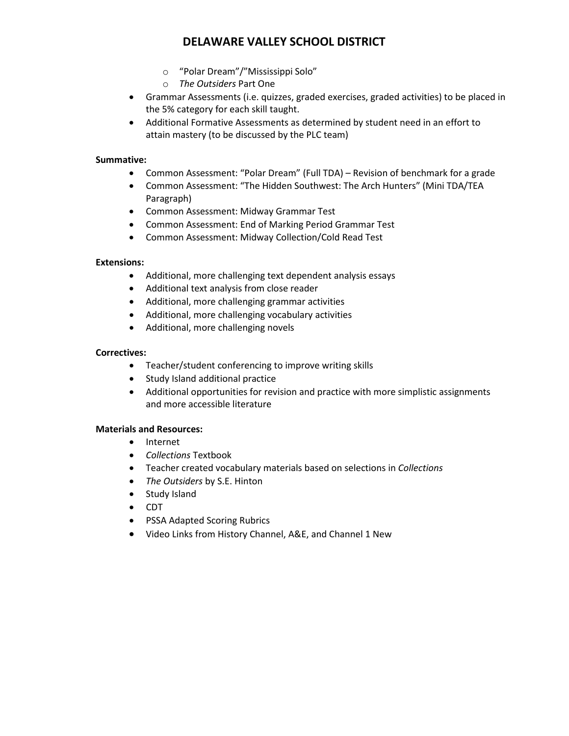- o "Polar Dream"/"Mississippi Solo"
- o *The Outsiders* Part One
- Grammar Assessments (i.e. quizzes, graded exercises, graded activities) to be placed in the 5% category for each skill taught.
- Additional Formative Assessments as determined by student need in an effort to attain mastery (to be discussed by the PLC team)

### **Summative:**

- Common Assessment: "Polar Dream" (Full TDA) Revision of benchmark for a grade
- Common Assessment: "The Hidden Southwest: The Arch Hunters" (Mini TDA/TEA Paragraph)
- Common Assessment: Midway Grammar Test
- Common Assessment: End of Marking Period Grammar Test
- Common Assessment: Midway Collection/Cold Read Test

### **Extensions:**

- Additional, more challenging text dependent analysis essays
- Additional text analysis from close reader
- Additional, more challenging grammar activities
- Additional, more challenging vocabulary activities
- Additional, more challenging novels

### **Correctives:**

- Teacher/student conferencing to improve writing skills
- Study Island additional practice
- Additional opportunities for revision and practice with more simplistic assignments and more accessible literature

### **Materials and Resources:**

- Internet
- *Collections* Textbook
- Teacher created vocabulary materials based on selections in *Collections*
- *The Outsiders* by S.E. Hinton
- Study Island
- CDT
- PSSA Adapted Scoring Rubrics
- Video Links from History Channel, A&E, and Channel 1 New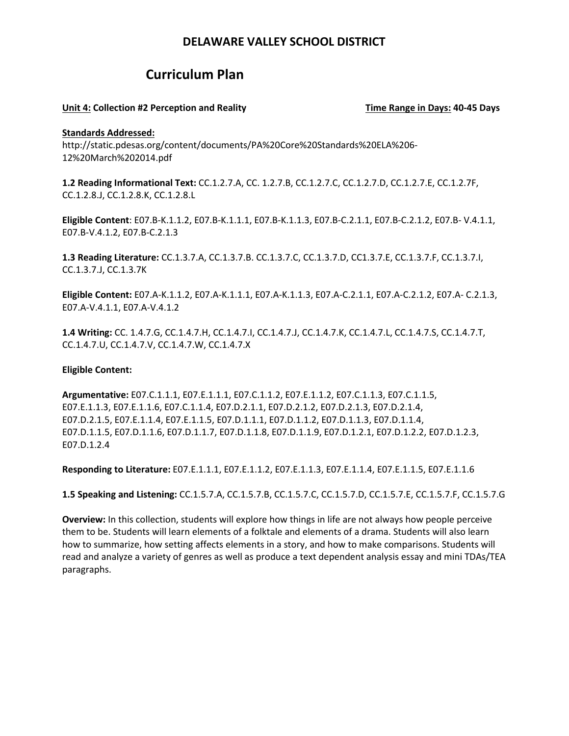## **Curriculum Plan**

#### **Unit 4: Collection #2 Perception and Reality Time Range in Days: 40‐45 Days**

#### **Standards Addressed:**

http://static.pdesas.org/content/documents/PA%20Core%20Standards%20ELA%206‐ 12%20March%202014.pdf

**1.2 Reading Informational Text:** CC.1.2.7.A, CC. 1.2.7.B, CC.1.2.7.C, CC.1.2.7.D, CC.1.2.7.E, CC.1.2.7F, CC.1.2.8.J, CC.1.2.8.K, CC.1.2.8.L

**Eligible Content**: E07.B‐K.1.1.2, E07.B‐K.1.1.1, E07.B‐K.1.1.3, E07.B‐C.2.1.1, E07.B‐C.2.1.2, E07.B‐ V.4.1.1, E07.B‐V.4.1.2, E07.B‐C.2.1.3

**1.3 Reading Literature:** CC.1.3.7.A, CC.1.3.7.B. CC.1.3.7.C, CC.1.3.7.D, CC1.3.7.E, CC.1.3.7.F, CC.1.3.7.I, CC.1.3.7.J, CC.1.3.7K

**Eligible Content:** E07.A‐K.1.1.2, E07.A‐K.1.1.1, E07.A‐K.1.1.3, E07.A‐C.2.1.1, E07.A‐C.2.1.2, E07.A‐ C.2.1.3, E07.A‐V.4.1.1, E07.A‐V.4.1.2

**1.4 Writing:** CC. 1.4.7.G, CC.1.4.7.H, CC.1.4.7.I, CC.1.4.7.J, CC.1.4.7.K, CC.1.4.7.L, CC.1.4.7.S, CC.1.4.7.T, CC.1.4.7.U, CC.1.4.7.V, CC.1.4.7.W, CC.1.4.7.X

#### **Eligible Content:**

**Argumentative:** E07.C.1.1.1, E07.E.1.1.1, E07.C.1.1.2, E07.E.1.1.2, E07.C.1.1.3, E07.C.1.1.5, E07.E.1.1.3, E07.E.1.1.6, E07.C.1.1.4, E07.D.2.1.1, E07.D.2.1.2, E07.D.2.1.3, E07.D.2.1.4, E07.D.2.1.5, E07.E.1.1.4, E07.E.1.1.5, E07.D.1.1.1, E07.D.1.1.2, E07.D.1.1.3, E07.D.1.1.4, E07.D.1.1.5, E07.D.1.1.6, E07.D.1.1.7, E07.D.1.1.8, E07.D.1.1.9, E07.D.1.2.1, E07.D.1.2.2, E07.D.1.2.3, E07.D.1.2.4

**Responding to Literature:** E07.E.1.1.1, E07.E.1.1.2, E07.E.1.1.3, E07.E.1.1.4, E07.E.1.1.5, E07.E.1.1.6

**1.5 Speaking and Listening:** CC.1.5.7.A, CC.1.5.7.B, CC.1.5.7.C, CC.1.5.7.D, CC.1.5.7.E, CC.1.5.7.F, CC.1.5.7.G

**Overview:** In this collection, students will explore how things in life are not always how people perceive them to be. Students will learn elements of a folktale and elements of a drama. Students will also learn how to summarize, how setting affects elements in a story, and how to make comparisons. Students will read and analyze a variety of genres as well as produce a text dependent analysis essay and mini TDAs/TEA paragraphs.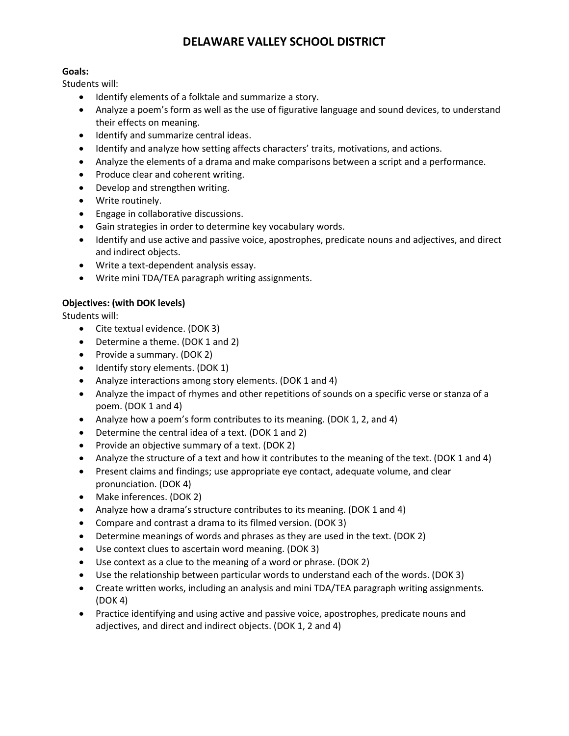### **Goals:**

Students will:

- Identify elements of a folktale and summarize a story.
- Analyze a poem's form as well as the use of figurative language and sound devices, to understand their effects on meaning.
- Identify and summarize central ideas.
- Identify and analyze how setting affects characters' traits, motivations, and actions.
- Analyze the elements of a drama and make comparisons between a script and a performance.
- Produce clear and coherent writing.
- Develop and strengthen writing.
- Write routinely.
- Engage in collaborative discussions.
- Gain strategies in order to determine key vocabulary words.
- Identify and use active and passive voice, apostrophes, predicate nouns and adjectives, and direct and indirect objects.
- Write a text‐dependent analysis essay.
- Write mini TDA/TEA paragraph writing assignments.

### **Objectives: (with DOK levels)**

Students will:

- Cite textual evidence. (DOK 3)
- Determine a theme. (DOK 1 and 2)
- Provide a summary. (DOK 2)
- Identify story elements. (DOK 1)
- Analyze interactions among story elements. (DOK 1 and 4)
- Analyze the impact of rhymes and other repetitions of sounds on a specific verse or stanza of a poem. (DOK 1 and 4)
- Analyze how a poem's form contributes to its meaning. (DOK 1, 2, and 4)
- Determine the central idea of a text. (DOK 1 and 2)
- Provide an objective summary of a text. (DOK 2)
- Analyze the structure of a text and how it contributes to the meaning of the text. (DOK 1 and 4)
- Present claims and findings; use appropriate eye contact, adequate volume, and clear pronunciation. (DOK 4)
- Make inferences. (DOK 2)
- Analyze how a drama's structure contributes to its meaning. (DOK 1 and 4)
- Compare and contrast a drama to its filmed version. (DOK 3)
- Determine meanings of words and phrases as they are used in the text. (DOK 2)
- Use context clues to ascertain word meaning. (DOK 3)
- Use context as a clue to the meaning of a word or phrase. (DOK 2)
- Use the relationship between particular words to understand each of the words. (DOK 3)
- Create written works, including an analysis and mini TDA/TEA paragraph writing assignments. (DOK 4)
- Practice identifying and using active and passive voice, apostrophes, predicate nouns and adjectives, and direct and indirect objects. (DOK 1, 2 and 4)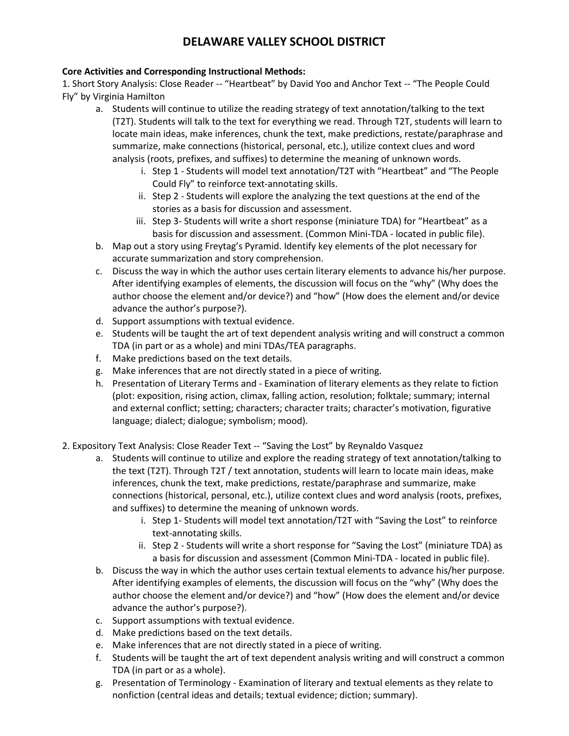### **Core Activities and Corresponding Instructional Methods:**

1. Short Story Analysis: Close Reader -- "Heartbeat" by David Yoo and Anchor Text ‐‐ "The People Could Fly" by Virginia Hamilton

- a. Students will continue to utilize the reading strategy of text annotation/talking to the text (T2T). Students will talk to the text for everything we read. Through T2T, students will learn to locate main ideas, make inferences, chunk the text, make predictions, restate/paraphrase and summarize, make connections (historical, personal, etc.), utilize context clues and word analysis (roots, prefixes, and suffixes) to determine the meaning of unknown words.
	- i. Step 1 Students will model text annotation/T2T with "Heartbeat" and "The People Could Fly" to reinforce text‐annotating skills.
	- ii. Step 2 ‐ Students will explore the analyzing the text questions at the end of the stories as a basis for discussion and assessment.
	- iii. Step 3‐ Students will write a short response (miniature TDA) for "Heartbeat" as a basis for discussion and assessment. (Common Mini‐TDA - located in public file).
- b. Map out a story using Freytag's Pyramid. Identify key elements of the plot necessary for accurate summarization and story comprehension.
- c. Discuss the way in which the author uses certain literary elements to advance his/her purpose. After identifying examples of elements, the discussion will focus on the "why" (Why does the author choose the element and/or device?) and "how" (How does the element and/or device advance the author's purpose?).
- d. Support assumptions with textual evidence.
- e. Students will be taught the art of text dependent analysis writing and will construct a common TDA (in part or as a whole) and mini TDAs/TEA paragraphs.
- f. Make predictions based on the text details.
- g. Make inferences that are not directly stated in a piece of writing.
- h. Presentation of Literary Terms and ‐ Examination of literary elements as they relate to fiction (plot: exposition, rising action, climax, falling action, resolution; folktale; summary; internal and external conflict; setting; characters; character traits; character's motivation, figurative language; dialect; dialogue; symbolism; mood).
- 2. Expository Text Analysis: Close Reader Text ‐‐ "Saving the Lost" by Reynaldo Vasquez
	- a. Students will continue to utilize and explore the reading strategy of text annotation/talking to the text (T2T). Through T2T / text annotation, students will learn to locate main ideas, make inferences, chunk the text, make predictions, restate/paraphrase and summarize, make connections (historical, personal, etc.), utilize context clues and word analysis (roots, prefixes, and suffixes) to determine the meaning of unknown words.
		- i. Step 1- Students will model text annotation/T2T with "Saving the Lost" to reinforce text‐annotating skills.
		- ii. Step 2 Students will write a short response for "Saving the Lost" (miniature TDA) as a basis for discussion and assessment (Common Mini‐TDA - located in public file).
	- b. Discuss the way in which the author uses certain textual elements to advance his/her purpose. After identifying examples of elements, the discussion will focus on the "why" (Why does the author choose the element and/or device?) and "how" (How does the element and/or device advance the author's purpose?).
	- c. Support assumptions with textual evidence.
	- d. Make predictions based on the text details.
	- e. Make inferences that are not directly stated in a piece of writing.
	- f. Students will be taught the art of text dependent analysis writing and will construct a common TDA (in part or as a whole).
	- g. Presentation of Terminology ‐ Examination of literary and textual elements as they relate to nonfiction (central ideas and details; textual evidence; diction; summary).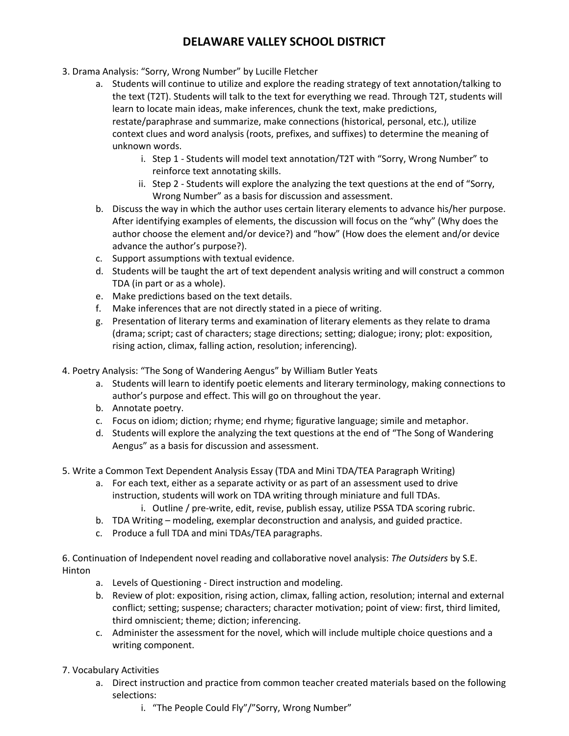- 3. Drama Analysis: "Sorry, Wrong Number" by Lucille Fletcher
	- a. Students will continue to utilize and explore the reading strategy of text annotation/talking to the text (T2T). Students will talk to the text for everything we read. Through T2T, students will learn to locate main ideas, make inferences, chunk the text, make predictions, restate/paraphrase and summarize, make connections (historical, personal, etc.), utilize context clues and word analysis (roots, prefixes, and suffixes) to determine the meaning of unknown words.
		- i. Step 1 Students will model text annotation/T2T with "Sorry, Wrong Number" to reinforce text annotating skills.
		- ii. Step 2 ‐ Students will explore the analyzing the text questions at the end of "Sorry, Wrong Number" as a basis for discussion and assessment.
	- b. Discuss the way in which the author uses certain literary elements to advance his/her purpose. After identifying examples of elements, the discussion will focus on the "why" (Why does the author choose the element and/or device?) and "how" (How does the element and/or device advance the author's purpose?).
	- c. Support assumptions with textual evidence.
	- d. Students will be taught the art of text dependent analysis writing and will construct a common TDA (in part or as a whole).
	- e. Make predictions based on the text details.
	- f. Make inferences that are not directly stated in a piece of writing.
	- g. Presentation of literary terms and examination of literary elements as they relate to drama (drama; script; cast of characters; stage directions; setting; dialogue; irony; plot: exposition, rising action, climax, falling action, resolution; inferencing).
- 4. Poetry Analysis: "The Song of Wandering Aengus" by William Butler Yeats
	- a. Students will learn to identify poetic elements and literary terminology, making connections to author's purpose and effect. This will go on throughout the year.
	- b. Annotate poetry.
	- c. Focus on idiom; diction; rhyme; end rhyme; figurative language; simile and metaphor.
	- d. Students will explore the analyzing the text questions at the end of "The Song of Wandering Aengus" as a basis for discussion and assessment.
- 5. Write a Common Text Dependent Analysis Essay (TDA and Mini TDA/TEA Paragraph Writing)
	- a. For each text, either as a separate activity or as part of an assessment used to drive instruction, students will work on TDA writing through miniature and full TDAs.
		- i. Outline / pre-write, edit, revise, publish essay, utilize PSSA TDA scoring rubric.
	- b. TDA Writing modeling, exemplar deconstruction and analysis, and guided practice.
	- c. Produce a full TDA and mini TDAs/TEA paragraphs.

6. Continuation of Independent novel reading and collaborative novel analysis: *The Outsiders* by S.E. Hinton

- a. Levels of Questioning ‐ Direct instruction and modeling.
- b. Review of plot: exposition, rising action, climax, falling action, resolution; internal and external conflict; setting; suspense; characters; character motivation; point of view: first, third limited, third omniscient; theme; diction; inferencing.
- c. Administer the assessment for the novel, which will include multiple choice questions and a writing component.
- 7. Vocabulary Activities
	- a. Direct instruction and practice from common teacher created materials based on the following selections:
		- i. "The People Could Fly"/"Sorry, Wrong Number"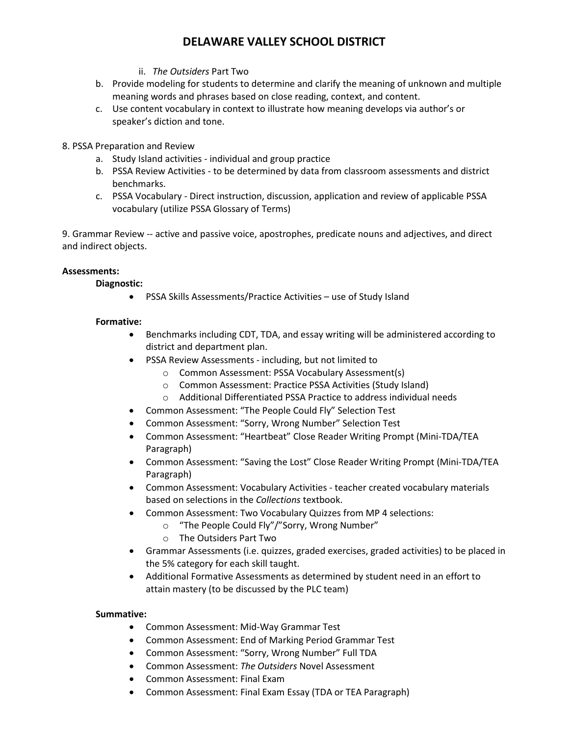- ii. *The Outsiders* Part Two
- b. Provide modeling for students to determine and clarify the meaning of unknown and multiple meaning words and phrases based on close reading, context, and content.
- c. Use content vocabulary in context to illustrate how meaning develops via author's or speaker's diction and tone.
- 8. PSSA Preparation and Review
	- a. Study Island activities ‐ individual and group practice
	- b. PSSA Review Activities ‐ to be determined by data from classroom assessments and district benchmarks.
	- c. PSSA Vocabulary ‐ Direct instruction, discussion, application and review of applicable PSSA vocabulary (utilize PSSA Glossary of Terms)

9. Grammar Review ‐‐ active and passive voice, apostrophes, predicate nouns and adjectives, and direct and indirect objects.

### **Assessments:**

### **Diagnostic:**

• PSSA Skills Assessments/Practice Activities – use of Study Island

### **Formative:**

- Benchmarks including CDT, TDA, and essay writing will be administered according to district and department plan.
- PSSA Review Assessments ‐ including, but not limited to
	- o Common Assessment: PSSA Vocabulary Assessment(s)
	- o Common Assessment: Practice PSSA Activities (Study Island)
	- o Additional Differentiated PSSA Practice to address individual needs
- Common Assessment: "The People Could Fly" Selection Test
- Common Assessment: "Sorry, Wrong Number" Selection Test
- Common Assessment: "Heartbeat" Close Reader Writing Prompt (Mini‐TDA/TEA Paragraph)
- Common Assessment: "Saving the Lost" Close Reader Writing Prompt (Mini‐TDA/TEA Paragraph)
- Common Assessment: Vocabulary Activities teacher created vocabulary materials based on selections in the *Collections* textbook.
- Common Assessment: Two Vocabulary Quizzes from MP 4 selections:
	- o "The People Could Fly"/"Sorry, Wrong Number"
	- o The Outsiders Part Two
- Grammar Assessments (i.e. quizzes, graded exercises, graded activities) to be placed in the 5% category for each skill taught.
- Additional Formative Assessments as determined by student need in an effort to attain mastery (to be discussed by the PLC team)

#### **Summative:**

- Common Assessment: Mid-Way Grammar Test
- Common Assessment: End of Marking Period Grammar Test
- Common Assessment: "Sorry, Wrong Number" Full TDA
- Common Assessment: *The Outsiders* Novel Assessment
- Common Assessment: Final Exam
- Common Assessment: Final Exam Essay (TDA or TEA Paragraph)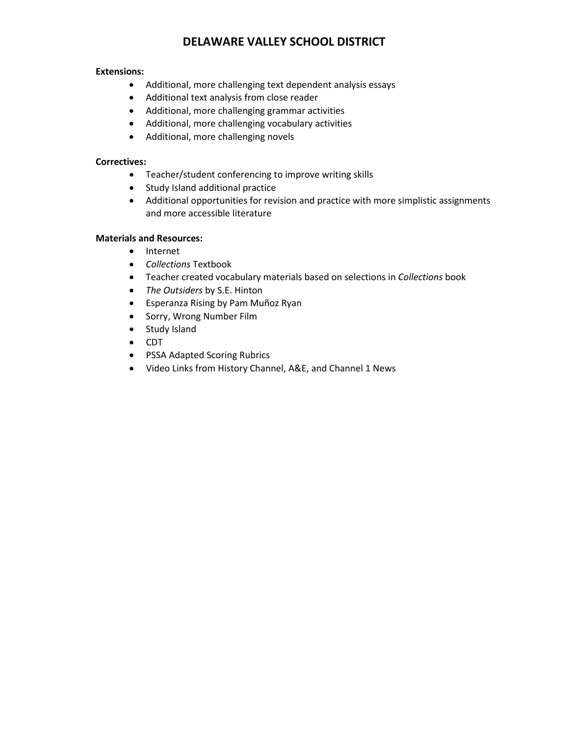### **Extensions:**

- Additional, more challenging text dependent analysis essays
- Additional text analysis from close reader
- Additional, more challenging grammar activities
- Additional, more challenging vocabulary activities
- Additional, more challenging novels

### **Correctives:**

- Teacher/student conferencing to improve writing skills
- Study Island additional practice
- Additional opportunities for revision and practice with more simplistic assignments and more accessible literature

### **Materials and Resources:**

- Internet
- *Collections* Textbook
- Teacher created vocabulary materials based on selections in *Collections* book
- *The Outsiders* by S.E. Hinton
- Esperanza Rising by Pam Muñoz Ryan
- Sorry, Wrong Number Film
- Study Island
- CDT
- PSSA Adapted Scoring Rubrics
- Video Links from History Channel, A&E, and Channel 1 News